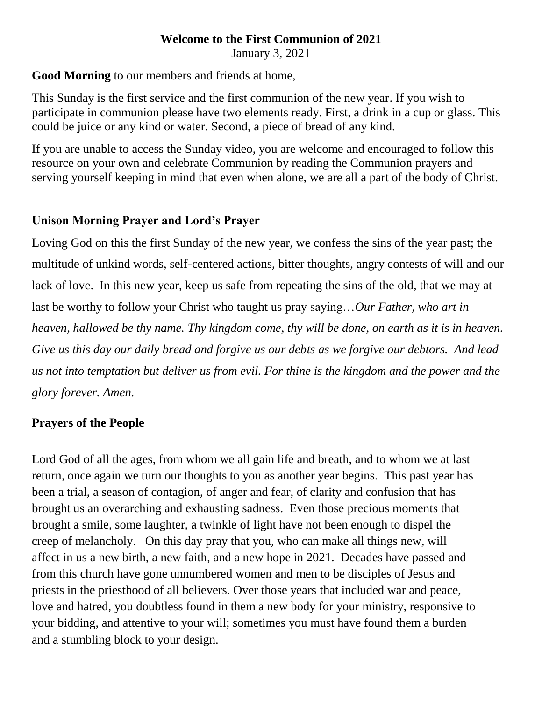# **Welcome to the First Communion of 2021**

January 3, 2021

### **Good Morning** to our members and friends at home,

This Sunday is the first service and the first communion of the new year. If you wish to participate in communion please have two elements ready. First, a drink in a cup or glass. This could be juice or any kind or water. Second, a piece of bread of any kind.

If you are unable to access the Sunday video, you are welcome and encouraged to follow this resource on your own and celebrate Communion by reading the Communion prayers and serving yourself keeping in mind that even when alone, we are all a part of the body of Christ.

### **Unison Morning Prayer and Lord's Prayer**

Loving God on this the first Sunday of the new year, we confess the sins of the year past; the multitude of unkind words, self-centered actions, bitter thoughts, angry contests of will and our lack of love. In this new year, keep us safe from repeating the sins of the old, that we may at last be worthy to follow your Christ who taught us pray saying…*Our Father, who art in heaven, hallowed be thy name. Thy kingdom come, thy will be done, on earth as it is in heaven. Give us this day our daily bread and forgive us our debts as we forgive our debtors. And lead us not into temptation but deliver us from evil. For thine is the kingdom and the power and the glory forever. Amen.*

### **Prayers of the People**

Lord God of all the ages, from whom we all gain life and breath, and to whom we at last return, once again we turn our thoughts to you as another year begins. This past year has been a trial, a season of contagion, of anger and fear, of clarity and confusion that has brought us an overarching and exhausting sadness. Even those precious moments that brought a smile, some laughter, a twinkle of light have not been enough to dispel the creep of melancholy. On this day pray that you, who can make all things new, will affect in us a new birth, a new faith, and a new hope in 2021. Decades have passed and from this church have gone unnumbered women and men to be disciples of Jesus and priests in the priesthood of all believers. Over those years that included war and peace, love and hatred, you doubtless found in them a new body for your ministry, responsive to your bidding, and attentive to your will; sometimes you must have found them a burden and a stumbling block to your design.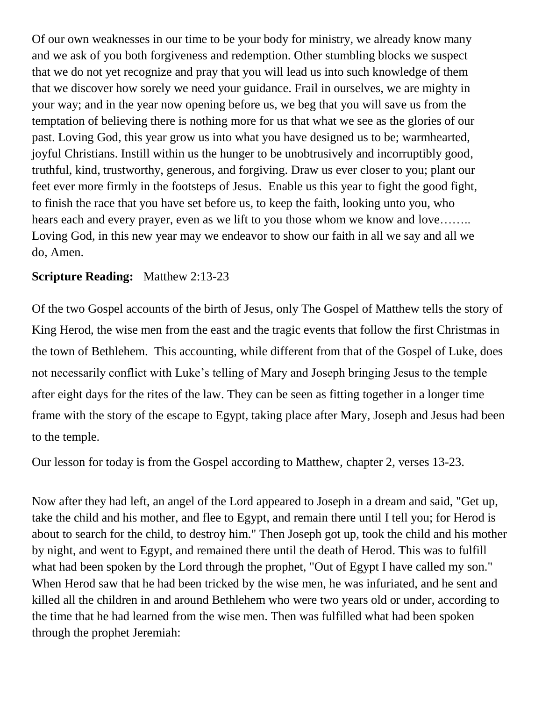Of our own weaknesses in our time to be your body for ministry, we already know many and we ask of you both forgiveness and redemption. Other stumbling blocks we suspect that we do not yet recognize and pray that you will lead us into such knowledge of them that we discover how sorely we need your guidance. Frail in ourselves, we are mighty in your way; and in the year now opening before us, we beg that you will save us from the temptation of believing there is nothing more for us that what we see as the glories of our past. Loving God, this year grow us into what you have designed us to be; warmhearted, joyful Christians. Instill within us the hunger to be unobtrusively and incorruptibly good, truthful, kind, trustworthy, generous, and forgiving. Draw us ever closer to you; plant our feet ever more firmly in the footsteps of Jesus. Enable us this year to fight the good fight, to finish the race that you have set before us, to keep the faith, looking unto you, who hears each and every prayer, even as we lift to you those whom we know and love……. Loving God, in this new year may we endeavor to show our faith in all we say and all we do, Amen.

### **Scripture Reading:** Matthew 2:13-23

Of the two Gospel accounts of the birth of Jesus, only The Gospel of Matthew tells the story of King Herod, the wise men from the east and the tragic events that follow the first Christmas in the town of Bethlehem. This accounting, while different from that of the Gospel of Luke, does not necessarily conflict with Luke's telling of Mary and Joseph bringing Jesus to the temple after eight days for the rites of the law. They can be seen as fitting together in a longer time frame with the story of the escape to Egypt, taking place after Mary, Joseph and Jesus had been to the temple.

Our lesson for today is from the Gospel according to Matthew, chapter 2, verses 13-23.

Now after they had left, an angel of the Lord appeared to Joseph in a dream and said, "Get up, take the child and his mother, and flee to Egypt, and remain there until I tell you; for Herod is about to search for the child, to destroy him." Then Joseph got up, took the child and his mother by night, and went to Egypt, and remained there until the death of Herod. This was to fulfill what had been spoken by the Lord through the prophet, "Out of Egypt I have called my son." When Herod saw that he had been tricked by the wise men, he was infuriated, and he sent and killed all the children in and around Bethlehem who were two years old or under, according to the time that he had learned from the wise men. Then was fulfilled what had been spoken through the prophet Jeremiah: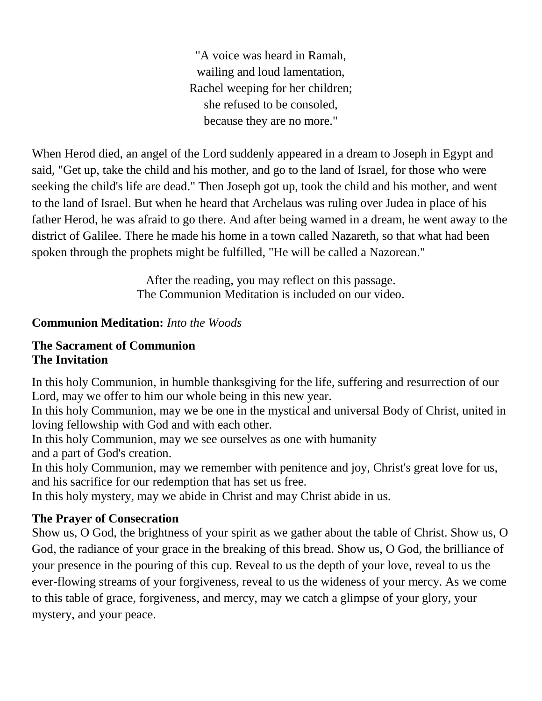"A voice was heard in Ramah, wailing and loud lamentation, Rachel weeping for her children; she refused to be consoled, because they are no more."

When Herod died, an angel of the Lord suddenly appeared in a dream to Joseph in Egypt and said, "Get up, take the child and his mother, and go to the land of Israel, for those who were seeking the child's life are dead." Then Joseph got up, took the child and his mother, and went to the land of Israel. But when he heard that Archelaus was ruling over Judea in place of his father Herod, he was afraid to go there. And after being warned in a dream, he went away to the district of Galilee. There he made his home in a town called Nazareth, so that what had been spoken through the prophets might be fulfilled, "He will be called a Nazorean."

> After the reading, you may reflect on this passage. The Communion Meditation is included on our video.

## **Communion Meditation:** *Into the Woods*

#### **The Sacrament of Communion The Invitation**

In this holy Communion, in humble thanksgiving for the life, suffering and resurrection of our Lord, may we offer to him our whole being in this new year.

In this holy Communion, may we be one in the mystical and universal Body of Christ, united in loving fellowship with God and with each other.

In this holy Communion, may we see ourselves as one with humanity and a part of God's creation.

In this holy Communion, may we remember with penitence and joy, Christ's great love for us, and his sacrifice for our redemption that has set us free.

In this holy mystery, may we abide in Christ and may Christ abide in us.

## **The Prayer of Consecration**

Show us, O God, the brightness of your spirit as we gather about the table of Christ. Show us, O God, the radiance of your grace in the breaking of this bread. Show us, O God, the brilliance of your presence in the pouring of this cup. Reveal to us the depth of your love, reveal to us the ever-flowing streams of your forgiveness, reveal to us the wideness of your mercy. As we come to this table of grace, forgiveness, and mercy, may we catch a glimpse of your glory, your mystery, and your peace.